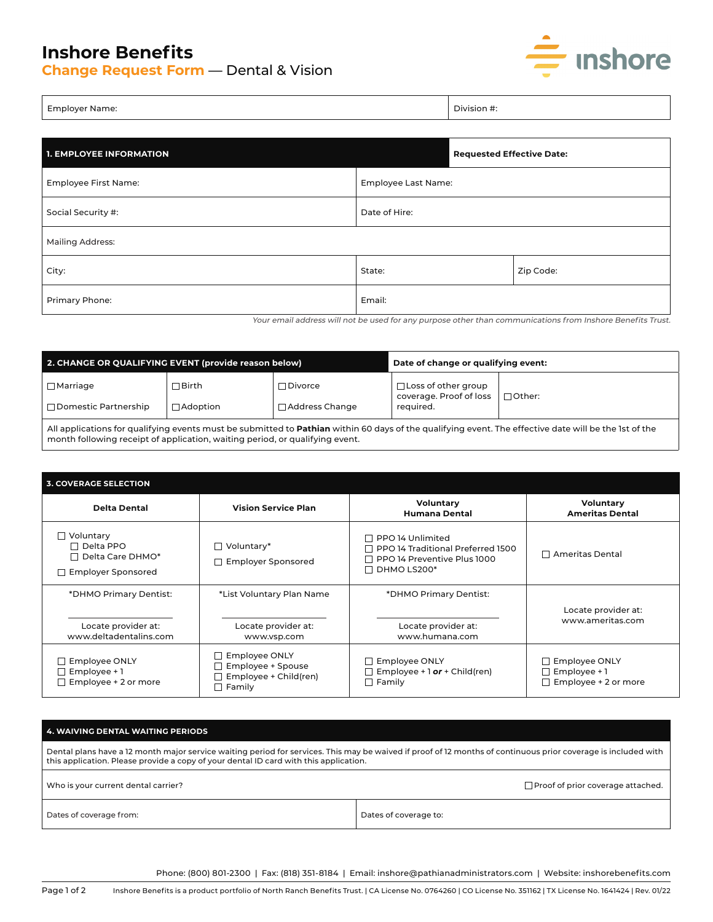## **Inshore Benefits**

**Change Request Form** — Dental & Vision



j

| <b>Employer Name:</b> | Division #: |
|-----------------------|-------------|
|                       |             |

| <b>1. EMPLOYEE INFORMATION</b> |                     | <b>Requested Effective Date:</b> |  |  |
|--------------------------------|---------------------|----------------------------------|--|--|
| Employee First Name:           | Employee Last Name: |                                  |  |  |
| Social Security #:             | Date of Hire:       |                                  |  |  |
| <b>Mailing Address:</b>        |                     |                                  |  |  |
| City:                          | State:              | Zip Code:                        |  |  |
| Primary Phone:                 | Email:              |                                  |  |  |

Your email address will not be used for any purpose other than communications from Inshore Benefits Trust.

| 2. CHANGE OR QUALIFYING EVENT (provide reason below)                                                                                                         |                   |                       | Date of change or qualifying event:                   |               |  |
|--------------------------------------------------------------------------------------------------------------------------------------------------------------|-------------------|-----------------------|-------------------------------------------------------|---------------|--|
| $\Box$ Marriage                                                                                                                                              | ∃ Birth           | $\sqcap$ Divorce      | $\Box$ Loss of other group<br>coverage. Proof of loss | $\Box$ Other: |  |
| □ Domestic Partnership                                                                                                                                       | $\sqcap$ Adoption | $\Box$ Address Change | required.                                             |               |  |
| All applications for qualifying events must be submitted to <b>Pathian</b> within 60 days of the qualifying event. The effective date will be the 1st of the |                   |                       |                                                       |               |  |

All applications for qualifying events must be submitted to **Pathian** within 60 days of the qualifying event. The effective date will be the 1st of the month following receipt of application, waiting period, or qualifying event.

| <b>3. COVERAGE SELECTION</b>                                                                 |                                                                                     |                                                                                                     |                                                                            |  |
|----------------------------------------------------------------------------------------------|-------------------------------------------------------------------------------------|-----------------------------------------------------------------------------------------------------|----------------------------------------------------------------------------|--|
| <b>Delta Dental</b>                                                                          | <b>Vision Service Plan</b>                                                          | Voluntary<br><b>Humana Dental</b>                                                                   | Voluntary<br><b>Ameritas Dental</b>                                        |  |
| $\Box$ Voluntary<br>$\Box$ Delta PPO<br>$\Box$ Delta Care DHMO*<br>$\Box$ Employer Sponsored | $\Box$ Voluntary*<br><b>Employer Sponsored</b>                                      | PPO 14 Unlimited<br>PPO 14 Traditional Preferred 1500<br>PPO 14 Preventive Plus 1000<br>DHMO LS200* | $\Box$ Ameritas Dental                                                     |  |
| *DHMO Primary Dentist:                                                                       | *List Voluntary Plan Name                                                           | *DHMO Primary Dentist:                                                                              |                                                                            |  |
| Locate provider at:<br>www.deltadentalins.com                                                | Locate provider at:<br>www.vsp.com                                                  | Locate provider at:<br>www.humana.com                                                               | Locate provider at:<br>www.ameritas.com                                    |  |
| <b>Employee ONLY</b><br>Employee +1<br>Employee + 2 or more                                  | $\Box$ Employee ONLY<br>Employee + Spouse<br>Employee + Child(ren)<br>$\Box$ Family | <b>Employee ONLY</b><br>Employee + $1$ or + Child(ren)<br>Family<br>$\blacksquare$                  | $\Box$ Employee ONLY<br>$\Box$ Employee + 1<br>$\Box$ Employee + 2 or more |  |

## **4. WAIVING DENTAL WAITING PERIODS**

Dental plans have a 12 month major service waiting period for services. This may be waived if proof of 12 months of continuous prior coverage is included with this application. Please provide a copy of your dental ID card with this application.

| Who is your current dental carrier? | □ Proof of prior coverage attached. |
|-------------------------------------|-------------------------------------|
| Dates of coverage from:             | Dates of coverage to:               |

Phone: (800) 801-2300 | Fax: (818) 351-8184 | Email: inshore@pathianadministrators.com | Website: inshorebenefits.com